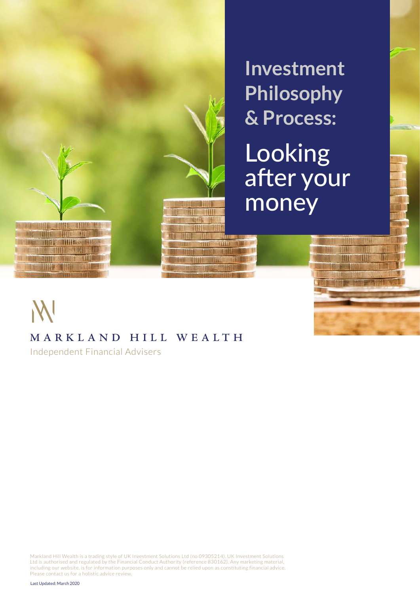

**Investment Philosophy & Process:**

Looking after your money

IIII

TIII

uu

TIII

m

# M

# **MARKL AN D HILL WEALTH**

Independent Financial Advisers

Markland Hill Wealth is a trading style of UK Investment Solutions Ltd (no 09305214). UK Investment Solutions Ltd is authorised and regulated by the Financial Conduct Authority (reference 830162). Any marketing material, including our website, is for information purposes only and cannot be relied upon as constituting financial advice. Please contact us for a holistic advice review.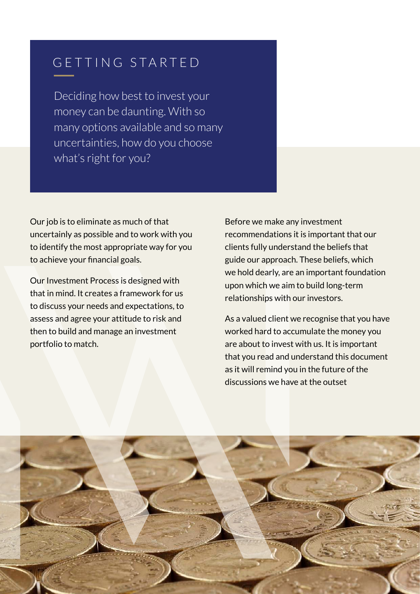# GETTING STARTED

Deciding how best to invest your money can be daunting. With so many options available and so many uncertainties, how do you choose what's right for you?

Our job is to eliminate as much of that uncertainly as possible and to work with you to identify the most appropriate way for you to achieve your financial goals.

Our Investment Process is designed with that in mind. It creates a framework for us to discuss your needs and expectations, to assess and agree your attitude to risk and then to build and manage an investment portfolio to match.

Before we make any investment recommendations it is important that our clients fully understand the beliefs that guide our approach. These beliefs, which we hold dearly, are an important foundation upon which we aim to build long-term relationships with our investors.

As a valued client we recognise that you have worked hard to accumulate the money you are about to invest with us. It is important that you read and understand this document as it will remind you in the future of the discussions we have at the outset

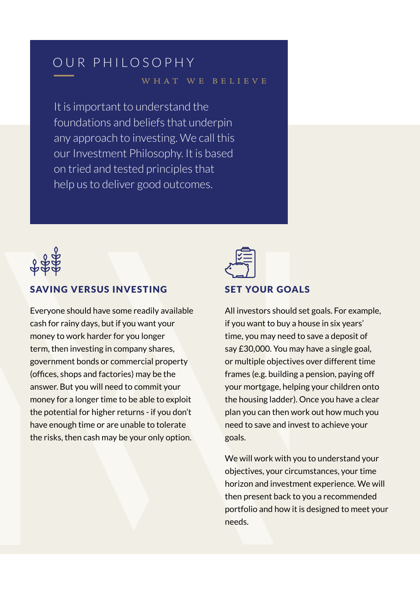# OUR PHILOSOPHY

### what we believe

It is important to understand the foundations and beliefs that underpin any approach to investing. We call this our Investment Philosophy. It is based on tried and tested principles that help us to deliver good outcomes.



## SAVING VERSUS INVESTING

Everyone should have some readily available cash for rainy days, but if you want your money to work harder for you longer term, then investing in company shares, government bonds or commercial property (offices, shops and factories) may be the answer. But you will need to commit your money for a longer time to be able to exploit the potential for higher returns - if you don't have enough time or are unable to tolerate the risks, then cash may be your only option.



## SET YOUR GOALS

All investors should set goals. For example, if you want to buy a house in six years' time, you may need to save a deposit of say £30,000. You may have a single goal, or multiple objectives over different time frames (e.g. building a pension, paying off your mortgage, helping your children onto the housing ladder). Once you have a clear plan you can then work out how much you need to save and invest to achieve your goals.

We will work with you to understand your objectives, your circumstances, your time horizon and investment experience. We will then present back to you a recommended portfolio and how it is designed to meet your needs.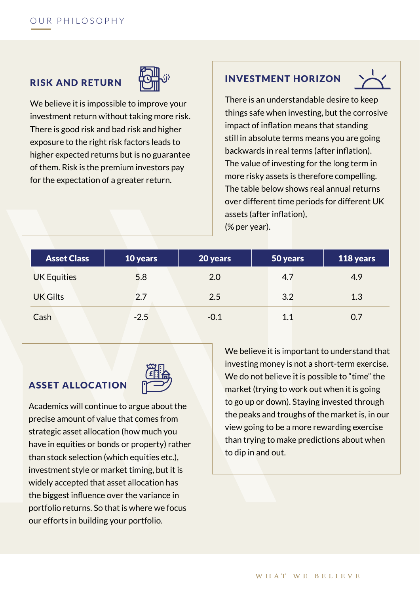# RISK AND RETURN



We believe it is impossible to improve your investment return without taking more risk. There is good risk and bad risk and higher exposure to the right risk factors leads to higher expected returns but is no guarantee of them. Risk is the premium investors pay for the expectation of a greater return.

## INVESTMENT HORIZON



There is an understandable desire to keep things safe when investing, but the corrosive impact of inflation means that standing still in absolute terms means you are going backwards in real terms (after inflation). The value of investing for the long term in more risky assets is therefore compelling. The table below shows real annual returns over different time periods for different UK assets (after inflation), (% per year).

| <b>Asset Class</b> | 10 years | 20 years | $ 50 \ \rm{years} $ | 118 years |
|--------------------|----------|----------|---------------------|-----------|
| <b>UK Equities</b> | 5.8      | 2.0      | 4.7                 | 4.9       |
| <b>UK Gilts</b>    | 2.7      | 2.5      | 3.2                 | 1.3       |
| Cash               | $-2.5$   | $-0.1$   | 1.1                 | 0.7       |

## ASSET ALLOCATION



Academics will continue to argue about the precise amount of value that comes from strategic asset allocation (how much you have in equities or bonds or property) rather than stock selection (which equities etc.), investment style or market timing, but it is widely accepted that asset allocation has the biggest influence over the variance in portfolio returns. So that is where we focus our efforts in building your portfolio.

We believe it is important to understand that investing money is not a short-term exercise. We do not believe it is possible to "time" the market (trying to work out when it is going to go up or down). Staying invested through the peaks and troughs of the market is, in our view going to be a more rewarding exercise than trying to make predictions about when to dip in and out.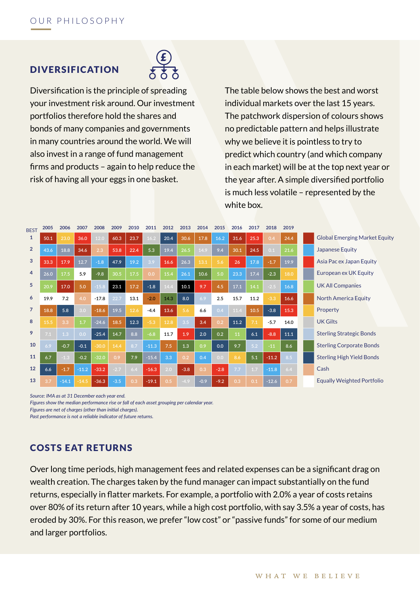## DIVERSIFICATION



Diversification is the principle of spreading your investment risk around. Our investment portfolios therefore hold the shares and bonds of many companies and governments in many countries around the world. We will also invest in a range of fund management firms and products – again to help reduce the risk of having all your eggs in one basket.

The table below shows the best and worst individual markets over the last 15 years. The patchwork dispersion of colours shows no predictable pattern and helps illustrate why we believe it is pointless to try to predict which country (and which company in each market) will be at the top next year or the year after. A simple diversified portfolio is much less volatile – represented by the white box.

| <b>BEST</b>    | 2005 | 2006    | 2007    | 2008    | 2009   | 2010 | 2011    | 2012 | 2013   | 2014   | 2015   | 2016 | 2017 | 2018    | 2019 |                                      |
|----------------|------|---------|---------|---------|--------|------|---------|------|--------|--------|--------|------|------|---------|------|--------------------------------------|
|                | 50.1 | 23.0    | 36.0    | 12.0    | 60.3   | 23.7 | 16.2    | 20.4 | 30.6   | 17.8   | 16.2   | 31.6 | 25.3 | 0.4     | 24.4 | <b>Global Emerging Market Equity</b> |
| $\overline{2}$ | 43.6 | 18.8    | 34.6    | 2.3     | 53.8   | 22.4 | 5.3     | 19.4 | 26.5   | 14.9   | 9.4    | 30.1 | 24.5 | 0.1     | 21.6 | <b>Japanese Equity</b>               |
| 3              | 33.3 | 17.9    | 12.7    | $-1.8$  | 47.9   | 19.2 | 3.9     | 16.6 | 26.3   | 13.1   | 5.6    | 26   | 17.8 | $-1.7$  | 19.9 | Asia Pac ex Japan Equity             |
| 4              | 26.0 | 17.5    | 5.9     | $-9.8$  | 30.5   | 17.5 | 0.0     | 15.4 | 26.1   | 10.6   | 5.0    | 23.3 | 17.4 | $-2.3$  | 18.0 | European ex UK Equity                |
| 5              | 20.9 | 17.0    | 5.0     | $-15.8$ | 23.1   | 17.2 | $-1.8$  | 14.4 | 10.1   | 9.7    | 4.5    | 17.1 | 14.1 | $-2.5$  | 16.8 | <b>UK All Companies</b>              |
| 6              | 19.9 | 7.2     | 4.0     | $-17.8$ | 22.7   | 13.1 | $-2.0$  | 14.3 | 8.0    | 6.9    | 2.5    | 15.7 | 11.2 | $-3.3$  | 16.6 | <b>North America Equity</b>          |
|                | 18.8 | 5.8     | 3.0     | $-18.6$ | 19.5   | 12.6 | $-4.4$  | 13.6 | 5.6    | 6.6    | 0.4    | 11.4 | 10.5 | $-3.8$  | 15.3 | Property                             |
| 8              | 15.5 | 3.3     | 1.7     | $-24.6$ | 18.5   | 12.3 | $-5.3$  | 12.8 | 3.5    | 3.4    | 0.2    | 11.2 | 7.1  | $-5.7$  | 14.0 | <b>UK Gilts</b>                      |
| 9              | 7.1  | 1.3     | 0.0     | $-25.4$ | 14.7   | 8.8  | $-6.8$  | 11.7 | 1.9    | 2.0    | 0.2    | 11   | 6.1  | $-8.8$  | 11.1 | <b>Sterling Strategic Bonds</b>      |
| 10             | 6.9  | $-0.7$  | $-0.1$  | $-30.0$ | 14.4   | 8.7  | $-11.3$ | 7.5  | 1.3    | 0.9    | 0.0    | 9.7  | 5.2  | $-11$   | 8.6  | <b>Sterling Corporate Bonds</b>      |
| 11             | 6.7  | $-1.3$  | $-0.2$  | $-32.0$ | 0.9    | 7.9  | $-15.4$ | 3.3  | 0.2    | 0.4    | 0.0    | 8.6  | 5.1  | $-11.2$ | 8.5  | <b>Sterling High Yield Bonds</b>     |
| 12             | 6.6  | $-1.7$  | $-11.2$ | $-33.2$ | $-2.7$ | 6.4  | $-16.3$ | 2.0  | $-3.8$ | 0.3    | $-2.8$ | 7.7  | 1.7  | $-11.8$ | 6.4  | Cash                                 |
| 13             | 3.7  | $-14.1$ | $-14.5$ | $-36.3$ | $-3.5$ | 0.3  | $-19.1$ | 0.5  | 4.9    | $-0.9$ | $-9.2$ | 0.3  | 0.1  | $-12.6$ | 0.7  | <b>Equally Weighted Portfolio</b>    |

*Source: IMA as at 31 December each year end.*

*Figures show the median performance rise or fall of each asset grouping per calendar year.*

*Figures are net of charges (other than initial charges).*

*Past performance is not a reliable indicator of future returns.*

### COSTS EAT RETURNS

Over long time periods, high management fees and related expenses can be a significant drag on wealth creation. The charges taken by the fund manager can impact substantially on the fund returns, especially in flatter markets. For example, a portfolio with 2.0% a year of costs retains over 80% of its return after 10 years, while a high cost portfolio, with say 3.5% a year of costs, has eroded by 30%. For this reason, we prefer "low cost" or "passive funds" for some of our medium and larger portfolios.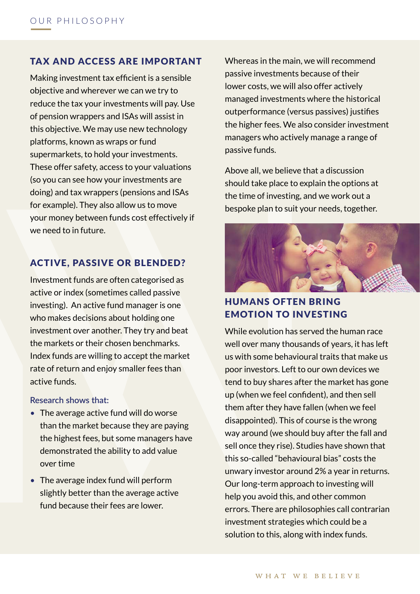### TAX AND ACCESS ARE IMPORTANT

Making investment tax efficient is a sensible objective and wherever we can we try to reduce the tax your investments will pay. Use of pension wrappers and ISAs will assist in this objective. We may use new technology platforms, known as wraps or fund supermarkets, to hold your investments. These offer safety, access to your valuations (so you can see how your investments are doing) and tax wrappers (pensions and ISAs for example). They also allow us to move your money between funds cost effectively if we need to in future.

### ACTIVE, PASSIVE OR BLENDED?

Investment funds are often categorised as active or index (sometimes called passive investing). An active fund manager is one who makes decisions about holding one investment over another. They try and beat the markets or their chosen benchmarks. Index funds are willing to accept the market rate of return and enjoy smaller fees than active funds.

**Research shows that:**

- The average active fund will do worse than the market because they are paying the highest fees, but some managers have demonstrated the ability to add value over time
- The average index fund will perform slightly better than the average active fund because their fees are lower.

Whereas in the main, we will recommend passive investments because of their lower costs, we will also offer actively managed investments where the historical outperformance (versus passives) justifies the higher fees. We also consider investment managers who actively manage a range of passive funds.

Above all, we believe that a discussion should take place to explain the options at the time of investing, and we work out a bespoke plan to suit your needs, together.



# HUMANS OFTEN BRING EMOTION TO INVESTING

While evolution has served the human race well over many thousands of years, it has left us with some behavioural traits that make us poor investors. Left to our own devices we tend to buy shares after the market has gone up (when we feel confident), and then sell them after they have fallen (when we feel disappointed). This of course is the wrong way around (we should buy after the fall and sell once they rise). Studies have shown that this so-called "behavioural bias" costs the unwary investor around 2% a year in returns. Our long-term approach to investing will help you avoid this, and other common errors. There are philosophies call contrarian investment strategies which could be a solution to this, along with index funds.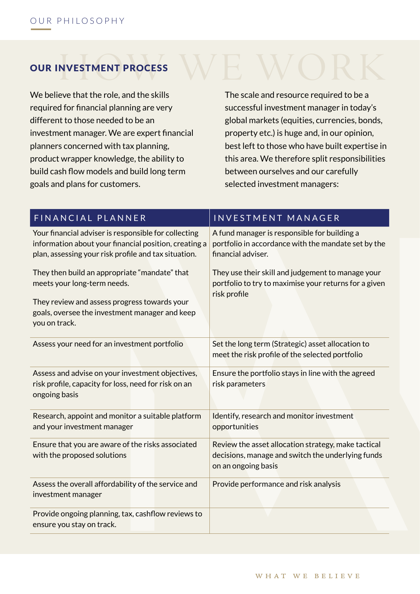# OUR INVESTMENT PROCESS

We believe that the role, and the skills required for financial planning are very different to those needed to be an investment manager. We are expert financial planners concerned with tax planning, product wrapper knowledge, the ability to build cash flow models and build long term goals and plans for customers.

The scale and resource required to be a successful investment manager in today's global markets (equities, currencies, bonds, property etc.) is huge and, in our opinion, best left to those who have built expertise in this area. We therefore split responsibilities between ourselves and our carefully selected investment managers:

| FINANCIAL PLANNER                                                                                                                                                     | <b>INVESTMENT MANAGER</b>                                                                                                       |  |  |  |  |  |
|-----------------------------------------------------------------------------------------------------------------------------------------------------------------------|---------------------------------------------------------------------------------------------------------------------------------|--|--|--|--|--|
| Your financial adviser is responsible for collecting<br>information about your financial position, creating a<br>plan, assessing your risk profile and tax situation. | A fund manager is responsible for building a<br>portfolio in accordance with the mandate set by the<br>financial adviser.       |  |  |  |  |  |
| They then build an appropriate "mandate" that<br>meets your long-term needs.                                                                                          | They use their skill and judgement to manage your<br>portfolio to try to maximise your returns for a given<br>risk profile      |  |  |  |  |  |
| They review and assess progress towards your<br>goals, oversee the investment manager and keep<br>you on track.                                                       |                                                                                                                                 |  |  |  |  |  |
| Assess your need for an investment portfolio                                                                                                                          | Set the long term (Strategic) asset allocation to<br>meet the risk profile of the selected portfolio                            |  |  |  |  |  |
| Assess and advise on your investment objectives,<br>risk profile, capacity for loss, need for risk on an<br>ongoing basis                                             | Ensure the portfolio stays in line with the agreed<br>risk parameters                                                           |  |  |  |  |  |
| Research, appoint and monitor a suitable platform<br>and your investment manager                                                                                      | Identify, research and monitor investment<br>opportunities                                                                      |  |  |  |  |  |
| Ensure that you are aware of the risks associated<br>with the proposed solutions                                                                                      | Review the asset allocation strategy, make tactical<br>decisions, manage and switch the underlying funds<br>on an ongoing basis |  |  |  |  |  |
| Assess the overall affordability of the service and<br>investment manager                                                                                             | Provide performance and risk analysis                                                                                           |  |  |  |  |  |
| Provide ongoing planning, tax, cashflow reviews to<br>ensure you stay on track.                                                                                       |                                                                                                                                 |  |  |  |  |  |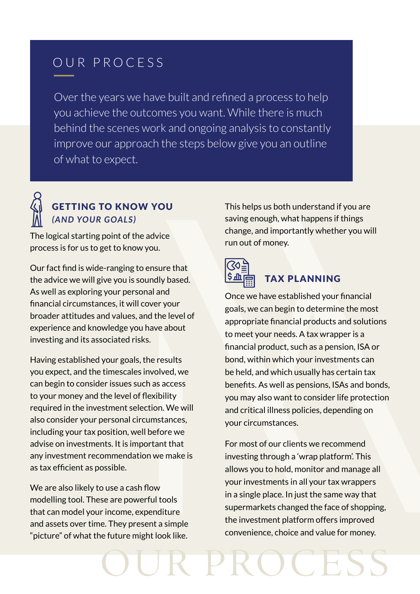# OUR PROCESS

Over the years we have built and refined a process to help you achieve the outcomes you want. While there is much behind the scenes work and ongoing analysis to constantly improve our approach the steps below give you an outline of what to expect.



# GETTING TO KNOW YOU *(AND YOUR GOALS)*

The logical starting point of the advice process is for us to get to know you.

Our fact find is wide-ranging to ensure that the advice we will give you is soundly based. As well as exploring your personal and financial circumstances, it will cover your broader attitudes and values, and the level of experience and knowledge you have about investing and its associated risks.

Having established your goals, the results you expect, and the timescales involved, we can begin to consider issues such as access to your money and the level of flexibility required in the investment selection. We will also consider your personal circumstances, including your tax position, well before we advise on investments. It is important that any investment recommendation we make is as tax efficient as possible.

We are also likely to use a cash flow modelling tool. These are powerful tools that can model your income, expenditure and assets over time. They present a simple "picture" of what the future might look like.

This helps us both understand if you are saving enough, what happens if things change, and importantly whether you will run out of money.



OUR PROCESS

# TAX PLANNING

Once we have established your financial goals, we can begin to determine the most appropriate financial products and solutions to meet your needs. A tax wrapper is a financial product, such as a pension, ISA or bond, within which your investments can be held, and which usually has certain tax benefits. As well as pensions, ISAs and bonds, you may also want to consider life protection and critical illness policies, depending on your circumstances.

For most of our clients we recommend investing through a 'wrap platform'. This allows you to hold, monitor and manage all your investments in all your tax wrappers in a single place. In just the same way that supermarkets changed the face of shopping, the investment platform offers improved convenience, choice and value for money.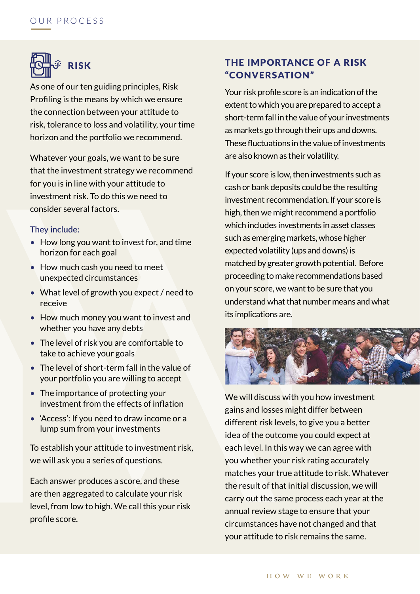

As one of our ten guiding principles, Risk Profiling is the means by which we ensure the connection between your attitude to risk, tolerance to loss and volatility, your time horizon and the portfolio we recommend.

Whatever your goals, we want to be sure that the investment strategy we recommend for you is in line with your attitude to investment risk. To do this we need to consider several factors.

#### **They include:**

- How long you want to invest for, and time horizon for each goal
- How much cash you need to meet unexpected circumstances
- What level of growth you expect / need to receive
- How much money you want to invest and whether you have any debts
- The level of risk you are comfortable to take to achieve your goals
- The level of short-term fall in the value of your portfolio you are willing to accept
- The importance of protecting your investment from the effects of inflation
- 'Access': If you need to draw income or a lump sum from your investments

To establish your attitude to investment risk, we will ask you a series of questions.

Each answer produces a score, and these are then aggregated to calculate your risk level, from low to high. We call this your risk profile score.

# THE IMPORTANCE OF A RISK "CONVERSATION"

Your risk profile score is an indication of the extent to which you are prepared to accept a short-term fall in the value of your investments as markets go through their ups and downs. These fluctuations in the value of investments are also known as their volatility.

If your score is low, then investments such as cash or bank deposits could be the resulting investment recommendation. If your score is high, then we might recommend a portfolio which includes investments in asset classes such as emerging markets, whose higher expected volatility (ups and downs) is matched by greater growth potential. Before proceeding to make recommendations based on your score, we want to be sure that you understand what that number means and what its implications are.



We will discuss with you how investment gains and losses might differ between different risk levels, to give you a better idea of the outcome you could expect at each level. In this way we can agree with you whether your risk rating accurately matches your true attitude to risk. Whatever the result of that initial discussion, we will carry out the same process each year at the annual review stage to ensure that your circumstances have not changed and that your attitude to risk remains the same.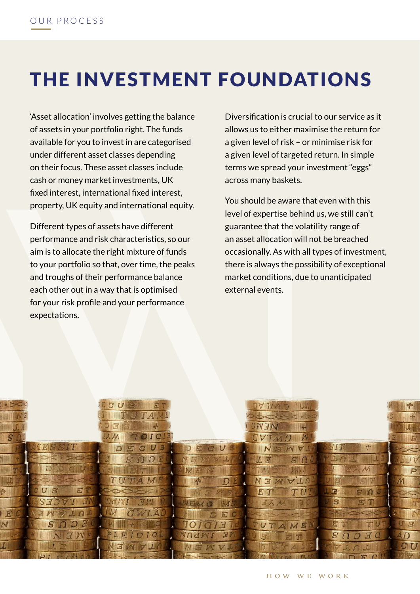# THE INVESTMENT FOUNDATIONS

'Asset allocation' involves getting the balance of assets in your portfolio right. The funds available for you to invest in are categorised under different asset classes depending on their focus. These asset classes include cash or money market investments, UK fixed interest, international fixed interest, property, UK equity and international equity.

Different types of assets have different performance and risk characteristics, so our aim is to allocate the right mixture of funds to your portfolio so that, over time, the peaks and troughs of their performance balance each other out in a way that is optimised for your risk profile and your performance expectations.

Diversification is crucial to our service as it allows us to either maximise the return for a given level of risk – or minimise risk for a given level of targeted return. In simple terms we spread your investment "eggs" across many baskets.

You should be aware that even with this level of expertise behind us, we still can't guarantee that the volatility range of an asset allocation will not be breached occasionally. As with all types of investment, there is always the possibility of exceptional market conditions, due to unanticipated external events.

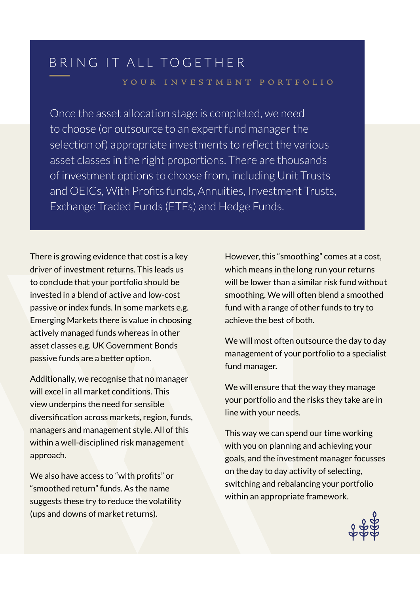# BRING IT ALL TOGETHER

### your investment portfolio

Once the asset allocation stage is completed, we need to choose (or outsource to an expert fund manager the selection of) appropriate investments to reflect the various asset classes in the right proportions. There are thousands of investment options to choose from, including Unit Trusts and OEICs, With Profits funds, Annuities, Investment Trusts, Exchange Traded Funds (ETFs) and Hedge Funds.

There is growing evidence that cost is a key driver of investment returns. This leads us to conclude that your portfolio should be invested in a blend of active and low-cost passive or index funds. In some markets e.g. Emerging Markets there is value in choosing actively managed funds whereas in other asset classes e.g. UK Government Bonds passive funds are a better option.

Additionally, we recognise that no manager will excel in all market conditions. This view underpins the need for sensible diversification across markets, region, funds, managers and management style. All of this within a well-disciplined risk management approach.

We also have access to "with profits" or "smoothed return" funds. As the name suggests these try to reduce the volatility (ups and downs of market returns).

However, this "smoothing" comes at a cost, which means in the long run your returns will be lower than a similar risk fund without smoothing. We will often blend a smoothed fund with a range of other funds to try to achieve the best of both.

We will most often outsource the day to day management of your portfolio to a specialist fund manager.

We will ensure that the way they manage your portfolio and the risks they take are in line with your needs.

This way we can spend our time working with you on planning and achieving your goals, and the investment manager focusses on the day to day activity of selecting, switching and rebalancing your portfolio within an appropriate framework.

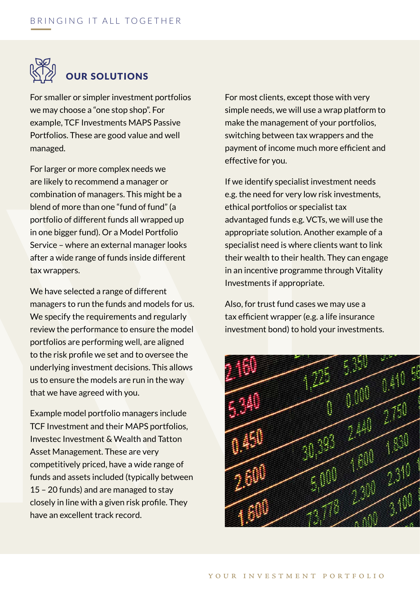

# OUR SOLUTIONS

For smaller or simpler investment portfolios we may choose a "one stop shop". For example, TCF Investments MAPS Passive Portfolios. These are good value and well managed.

For larger or more complex needs we are likely to recommend a manager or combination of managers. This might be a blend of more than one "fund of fund" (a portfolio of different funds all wrapped up in one bigger fund). Or a Model Portfolio Service – where an external manager looks after a wide range of funds inside different tax wrappers.

We have selected a range of different managers to run the funds and models for us. We specify the requirements and regularly review the performance to ensure the model portfolios are performing well, are aligned to the risk profile we set and to oversee the underlying investment decisions. This allows us to ensure the models are run in the way that we have agreed with you.

Example model portfolio managers include TCF Investment and their MAPS portfolios, Investec Investment & Wealth and Tatton Asset Management. These are very competitively priced, have a wide range of funds and assets included (typically between 15 – 20 funds) and are managed to stay closely in line with a given risk profile. They have an excellent track record.

For most clients, except those with very simple needs, we will use a wrap platform to make the management of your portfolios, switching between tax wrappers and the payment of income much more efficient and effective for you.

If we identify specialist investment needs e.g. the need for very low risk investments, ethical portfolios or specialist tax advantaged funds e.g. VCTs, we will use the appropriate solution. Another example of a specialist need is where clients want to link their wealth to their health. They can engage in an incentive programme through Vitality Investments if appropriate.

Also, for trust fund cases we may use a tax efficient wrapper (e.g. a life insurance investment bond) to hold your investments.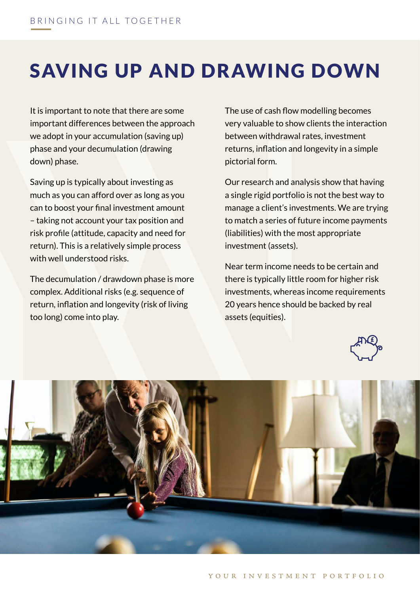# SAVING UP AND DRAWING DOWN

It is important to note that there are some important differences between the approach we adopt in your accumulation (saving up) phase and your decumulation (drawing down) phase.

Saving up is typically about investing as much as you can afford over as long as you can to boost your final investment amount – taking not account your tax position and risk profile (attitude, capacity and need for return). This is a relatively simple process with well understood risks.

The decumulation / drawdown phase is more complex. Additional risks (e.g. sequence of return, inflation and longevity (risk of living too long) come into play.

The use of cash flow modelling becomes very valuable to show clients the interaction between withdrawal rates, investment returns, inflation and longevity in a simple pictorial form.

Our research and analysis show that having a single rigid portfolio is not the best way to manage a client's investments. We are trying to match a series of future income payments (liabilities) with the most appropriate investment (assets).

Near term income needs to be certain and there is typically little room for higher risk investments, whereas income requirements 20 years hence should be backed by real assets (equities).



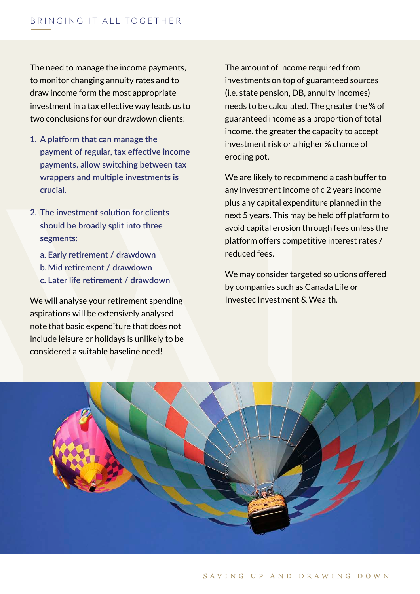The need to manage the income payments, to monitor changing annuity rates and to draw income form the most appropriate investment in a tax effective way leads us to two conclusions for our drawdown clients:

- **1. A platform that can manage the payment of regular, tax effective income payments, allow switching between tax wrappers and multiple investments is crucial.**
- **2. The investment solution for clients should be broadly split into three segments:**
	- **a. Early retirement / drawdown**
	- **b. Mid retirement / drawdown**
	- **c. Later life retirement / drawdown**

We will analyse your retirement spending aspirations will be extensively analysed – note that basic expenditure that does not include leisure or holidays is unlikely to be considered a suitable baseline need!

The amount of income required from investments on top of guaranteed sources (i.e. state pension, DB, annuity incomes) needs to be calculated. The greater the % of guaranteed income as a proportion of total income, the greater the capacity to accept investment risk or a higher % chance of eroding pot.

We are likely to recommend a cash buffer to any investment income of c 2 years income plus any capital expenditure planned in the next 5 years. This may be held off platform to avoid capital erosion through fees unless the platform offers competitive interest rates / reduced fees.

We may consider targeted solutions offered by companies such as Canada Life or Investec Investment & Wealth.

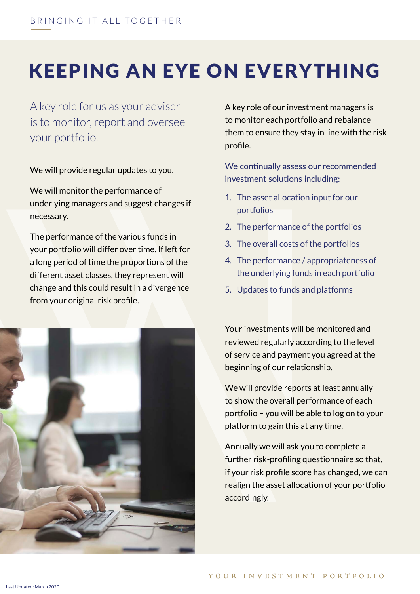# KEEPING AN EYE ON EVERYTHING

A key role for us as your adviser is to monitor, report and oversee your portfolio.

We will provide regular updates to you.

We will monitor the performance of underlying managers and suggest changes if necessary.

The performance of the various funds in your portfolio will differ over time. If left for a long period of time the proportions of the different asset classes, they represent will change and this could result in a divergence from your original risk profile.



A key role of our investment managers is to monitor each portfolio and rebalance them to ensure they stay in line with the risk profile.

We continually assess our recommended investment solutions including:

- 1. The asset allocation input for our portfolios
- 2. The performance of the portfolios
- 3. The overall costs of the portfolios
- 4. The performance / appropriateness of the underlying funds in each portfolio
- 5. Updates to funds and platforms

Your investments will be monitored and reviewed regularly according to the level of service and payment you agreed at the beginning of our relationship.

We will provide reports at least annually to show the overall performance of each portfolio – you will be able to log on to your platform to gain this at any time.

Annually we will ask you to complete a further risk-profiling questionnaire so that, if your risk profile score has changed, we can realign the asset allocation of your portfolio accordingly.